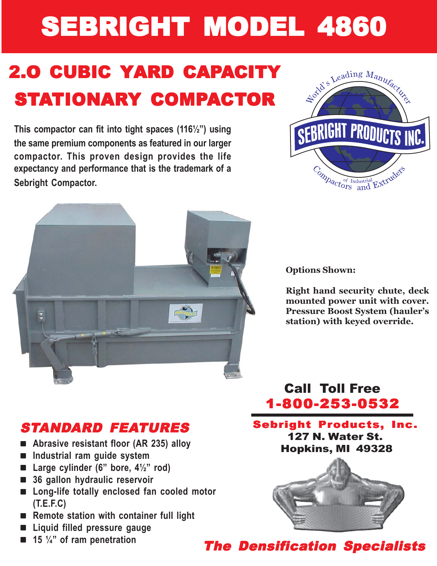# **SEBRIGHT MODEL 4860**

# **2.O CUBIC YARD CAPACITY** STATIONARY COMPACTOR

**This compactor can fit into tight spaces (116½") using the same premium components as featured in our larger compactor. This proven design provides the life expectancy and performance that is the trademark of a Sebright Compactor.**





**Options Shown:**

**Right hand security chute, deck mounted power unit with cover. Pressure Boost System (hauler's station) with keyed override.**

# STANDARD FEATURES

- **Abrasive resistant floor (AR 235) alloy**
- **Industrial ram guide system**
- Large cylinder (6" bore, 4<sup>1/2</sup>" rod)
- **36 gallon hydraulic reservoir**
- **Long-life totally enclosed fan cooled motor (T.E.F.C)**
- Remote station with container full light
- **Liquid filled pressure gauge**
- **15**  $\frac{1}{4}$  of ram penetration

## Call Toll Free 1-800-253-0532

#### Sebright Products, Inc. 127 N. Water St. Hopkins, MI 49328



**The Densification Specialists**